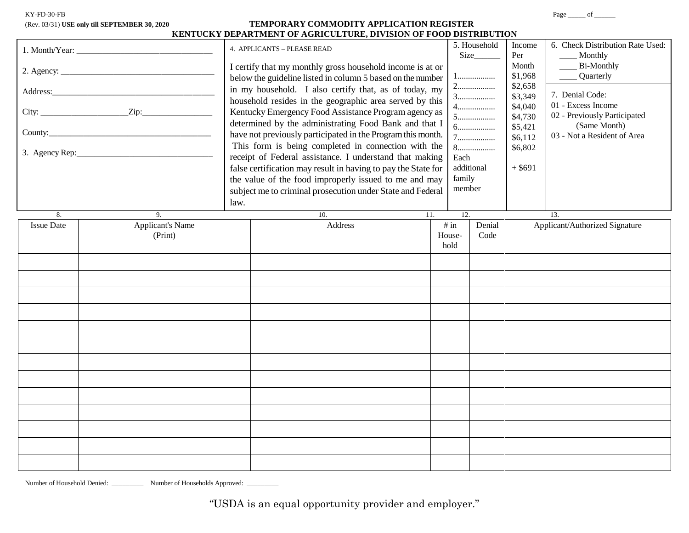| KY-FD-30-FB |  |  |
|-------------|--|--|
|             |  |  |

## (Rev. 03/31) **USE only till SEPTEMBER 30, 2020 TEMPORARY COMMODITY APPLICATION REGISTER KENTUCKY DEPARTMENT OF AGRICULTURE, DIVISION OF FOOD DISTRIBUTION**

|                   |                                    | 4. APPLICANTS - PLEASE READ<br>I certify that my monthly gross household income is at or<br>below the guideline listed in column 5 based on the number<br>in my household. I also certify that, as of today, my<br>household resides in the geographic area served by this<br>Kentucky Emergency Food Assistance Program agency as<br>determined by the administrating Food Bank and that I<br>have not previously participated in the Program this month.<br>This form is being completed in connection with the<br>receipt of Federal assistance. I understand that making<br>false certification may result in having to pay the State for<br>the value of the food improperly issued to me and may<br>subject me to criminal prosecution under State and Federal |                        | 5. Household<br>Size_<br>1<br>4.<br>$5\dots$<br>$8\dots\hspace{-1.5ex}\dots\hspace{-1.5ex}\dots\hspace{-1.5ex}\dots\hspace{-1.5ex}\dots$<br>Each<br>additional<br>family<br>member | Income<br>Per<br>Month<br>\$1,968<br>\$2,658<br>\$3,349<br>\$4,040<br>\$4,730<br>\$5,421<br>\$6,112<br>\$6,802<br>$+$ \$691 | 6. Check Distribution Rate Used:<br>____ Monthly<br>Bi-Monthly<br>_____ Quarterly<br>7. Denial Code:<br>01 - Excess Income<br>02 - Previously Participated<br>(Same Month)<br>03 - Not a Resident of Area |
|-------------------|------------------------------------|----------------------------------------------------------------------------------------------------------------------------------------------------------------------------------------------------------------------------------------------------------------------------------------------------------------------------------------------------------------------------------------------------------------------------------------------------------------------------------------------------------------------------------------------------------------------------------------------------------------------------------------------------------------------------------------------------------------------------------------------------------------------|------------------------|------------------------------------------------------------------------------------------------------------------------------------------------------------------------------------|-----------------------------------------------------------------------------------------------------------------------------|-----------------------------------------------------------------------------------------------------------------------------------------------------------------------------------------------------------|
| 8.                | law.<br>9.                         | $\overline{10}$ .                                                                                                                                                                                                                                                                                                                                                                                                                                                                                                                                                                                                                                                                                                                                                    | 11.                    | 12.                                                                                                                                                                                |                                                                                                                             | 13.                                                                                                                                                                                                       |
| <b>Issue Date</b> | <b>Applicant's Name</b><br>(Print) | Address                                                                                                                                                                                                                                                                                                                                                                                                                                                                                                                                                                                                                                                                                                                                                              | # in<br>House-<br>hold | Denial<br>Code                                                                                                                                                                     |                                                                                                                             | Applicant/Authorized Signature                                                                                                                                                                            |
|                   |                                    |                                                                                                                                                                                                                                                                                                                                                                                                                                                                                                                                                                                                                                                                                                                                                                      |                        |                                                                                                                                                                                    |                                                                                                                             |                                                                                                                                                                                                           |
|                   |                                    |                                                                                                                                                                                                                                                                                                                                                                                                                                                                                                                                                                                                                                                                                                                                                                      |                        |                                                                                                                                                                                    |                                                                                                                             |                                                                                                                                                                                                           |
|                   |                                    |                                                                                                                                                                                                                                                                                                                                                                                                                                                                                                                                                                                                                                                                                                                                                                      |                        |                                                                                                                                                                                    |                                                                                                                             |                                                                                                                                                                                                           |

Number of Household Denied: \_\_\_\_\_\_\_\_\_\_ Number of Households Approved: \_\_\_\_\_\_\_\_\_

"USDA is an equal opportunity provider and employer."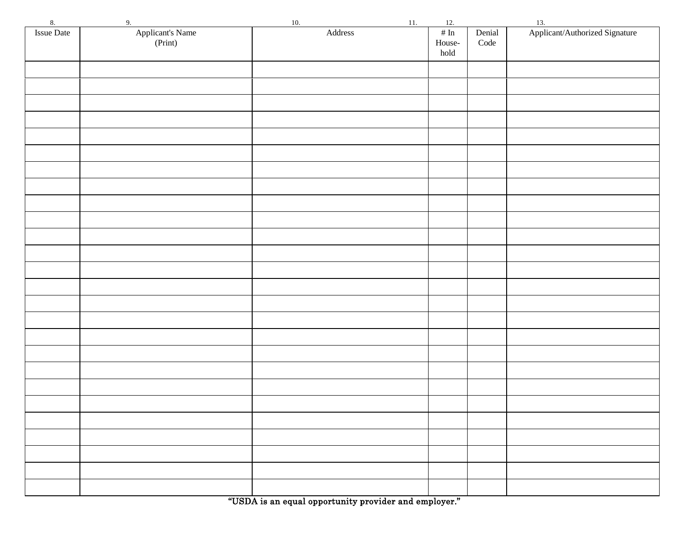"USDA is an equal opportunity provider and employer."

| 8.         | 9.                          | 10.                          | 11. | 12.               |                |                                       |
|------------|-----------------------------|------------------------------|-----|-------------------|----------------|---------------------------------------|
| Issue Date | Applicant's Name<br>(Print) | $\operatorname{\sf Address}$ |     | $\#$ In<br>House- | Denial<br>Code | 13.<br>Applicant/Authorized Signature |
|            |                             |                              |     | hold              |                |                                       |
|            |                             |                              |     |                   |                |                                       |
|            |                             |                              |     |                   |                |                                       |
|            |                             |                              |     |                   |                |                                       |
|            |                             |                              |     |                   |                |                                       |
|            |                             |                              |     |                   |                |                                       |
|            |                             |                              |     |                   |                |                                       |
|            |                             |                              |     |                   |                |                                       |
|            |                             |                              |     |                   |                |                                       |
|            |                             |                              |     |                   |                |                                       |
|            |                             |                              |     |                   |                |                                       |
|            |                             |                              |     |                   |                |                                       |
|            |                             |                              |     |                   |                |                                       |
|            |                             |                              |     |                   |                |                                       |
|            |                             |                              |     |                   |                |                                       |
|            |                             |                              |     |                   |                |                                       |
|            |                             |                              |     |                   |                |                                       |
|            |                             |                              |     |                   |                |                                       |
|            |                             |                              |     |                   |                |                                       |
|            |                             |                              |     |                   |                |                                       |
|            |                             |                              |     |                   |                |                                       |
|            |                             |                              |     |                   |                |                                       |
|            |                             |                              |     |                   |                |                                       |
|            |                             |                              |     |                   |                |                                       |
|            |                             |                              |     |                   |                |                                       |
|            |                             |                              |     |                   |                |                                       |
|            |                             |                              |     |                   |                |                                       |
|            |                             |                              |     |                   |                |                                       |
|            |                             |                              |     |                   |                |                                       |